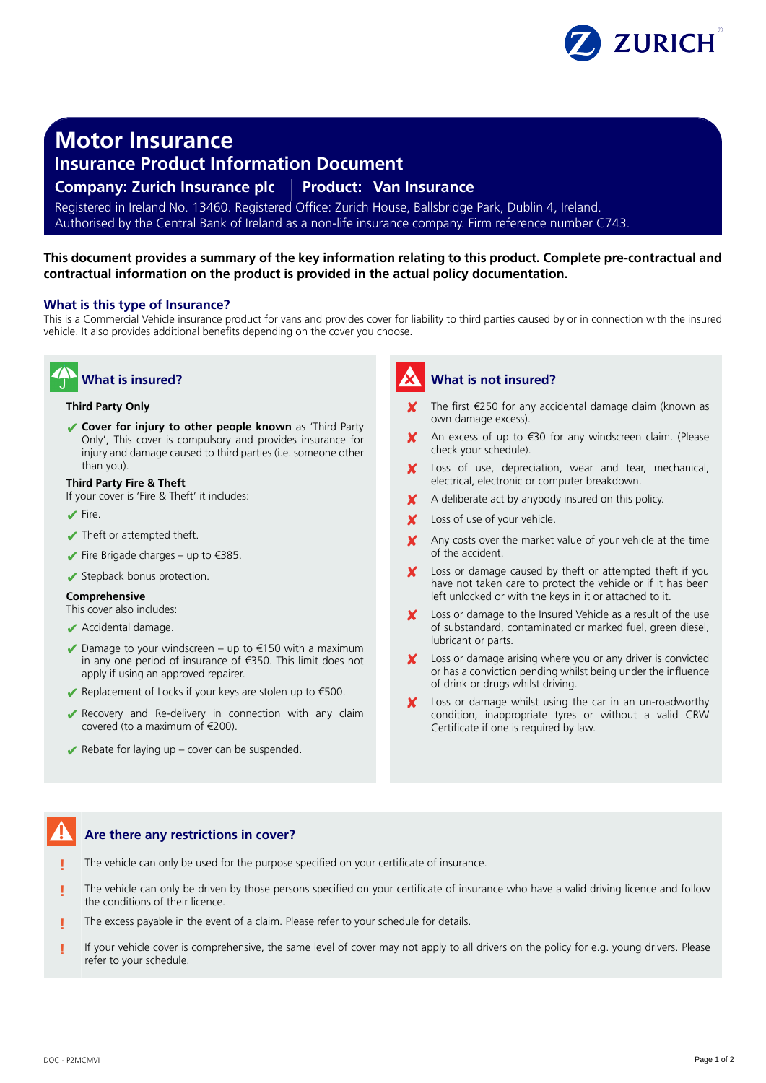

**Motor Insurance**

## **Insurance Product Information Document**

### **Company: Zurich Insurance plc Product: Van Insurance**

Registered in Ireland No. 13460. Registered Office: Zurich House, Ballsbridge Park, Dublin 4, Ireland. Authorised by the Central Bank of Ireland as a non-life insurance company. Firm reference number C743.

### **This document provides a summary of the key information relating to this product. Complete pre-contractual and contractual information on the product is provided in the actual policy documentation.**

### **What is this type of Insurance?**

This is a Commercial Vehicle insurance product for vans and provides cover for liability to third parties caused by or in connection with the insured vehicle. It also provides additional benefits depending on the cover you choose.

# **What is insured?**

#### **Third Party Only**

✔ **Cover for injury to other people known** as 'Third Party Only', This cover is compulsory and provides insurance for injury and damage caused to third parties (i.e. someone other than you).

#### **Third Party Fire & Theft**

- If your cover is 'Fire & Theft' it includes:
- $\blacktriangleright$  Fire.
- ✔ Theft or attempted theft.
- $\blacktriangleright$  Fire Brigade charges up to  $\epsilon$ 385.
- ✔ Stepback bonus protection.

### **Comprehensive**

This cover also includes:

- ✔ Accidental damage.
- $\blacktriangleright$  Damage to your windscreen up to €150 with a maximum in any one period of insurance of €350. This limit does not apply if using an approved repairer.
- $\blacktriangleright$  Replacement of Locks if your keys are stolen up to €500.
- ✔ Recovery and Re-delivery in connection with any claim covered (to a maximum of €200).
- $\blacktriangleright$  Rebate for laying up cover can be suspended.

# **What is not insured?**

- The first €250 for any accidental damage claim (known as own damage excess).
- An excess of up to €30 for any windscreen claim. (Please check your schedule).
- Loss of use, depreciation, wear and tear, mechanical, electrical, electronic or computer breakdown.
- A deliberate act by anybody insured on this policy.
- X Loss of use of your vehicle.
- Any costs over the market value of your vehicle at the time of the accident.
- Loss or damage caused by theft or attempted theft if you have not taken care to protect the vehicle or if it has been left unlocked or with the keys in it or attached to it.
- Loss or damage to the Insured Vehicle as a result of the use of substandard, contaminated or marked fuel, green diesel, lubricant or parts.
- Loss or damage arising where you or any driver is convicted or has a conviction pending whilst being under the influence of drink or drugs whilst driving.
- Loss or damage whilst using the car in an un-roadworthy condition, inappropriate tyres or without a valid CRW Certificate if one is required by law.

### **Are there any restrictions in cover?**

- **!** The vehicle can only be used for the purpose specified on your certificate of insurance.
- **!** The vehicle can only be driven by those persons specified on your certificate of insurance who have a valid driving licence and follow the conditions of their licence.
- **!** The excess payable in the event of a claim. Please refer to your schedule for details.
- **!** If your vehicle cover is comprehensive, the same level of cover may not apply to all drivers on the policy for e.g. young drivers. Please refer to your schedule.